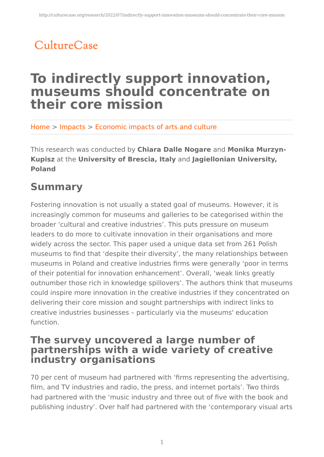# CultureCase

# **To indirectly support innovation, museums should concentrate on their core mission**

Home > Impacts > Economic impacts of arts and culture

This research was conducted by **Chiara Dalle Nogare** and **Monika Murzyn-Kupisz** at the **University of Brescia, Italy** and **Jagiellonian University, Poland**

## **Summary**

Fostering innovation is not usually a stated goal of museums. However, it is increasingly common for museums and galleries to be categorised within the broader 'cultural and creative industries'. This puts pressure on museum leaders to do more to cultivate innovation in their organisations and more widely across the sector. This paper used a unique data set from 261 Polish museums to find that 'despite their diversity', the many relationships between museums in Poland and creative industries firms were generally 'poor in terms of their potential for innovation enhancement'. Overall, 'weak links greatly outnumber those rich in knowledge spillovers'. The authors think that museums could inspire more innovation in the creative industries if they concentrated on delivering their core mission and sought partnerships with indirect links to creative industries businesses – particularly via the museums' education function.

### **The survey uncovered a large number of partnerships with a wide variety of creative industry organisations**

70 per cent of museum had partnered with 'firms representing the advertising, film, and TV industries and radio, the press, and internet portals'. Two thirds had partnered with the 'music industry and three out of five with the book and publishing industry'. Over half had partnered with the 'contemporary visual arts